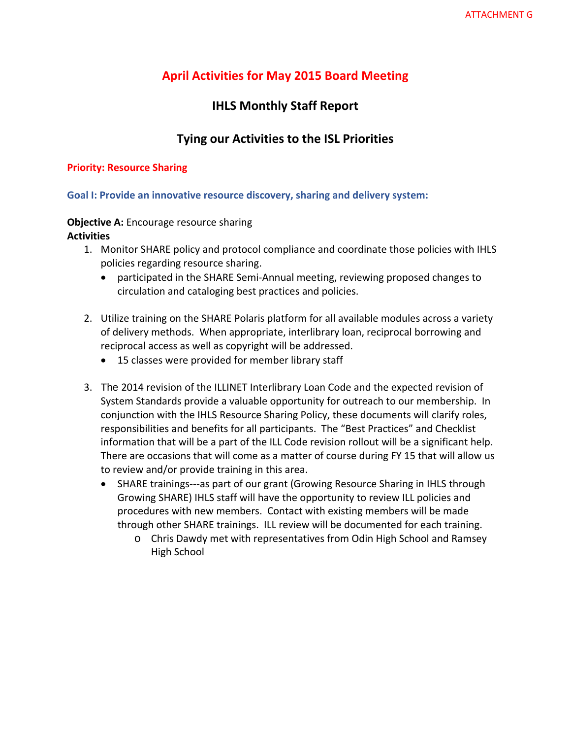# **April Activities for May 2015 Board Meeting**

# **IHLS Monthly Staff Report**

# **Tying our Activities to the ISL Priorities**

### **Priority: Resource Sharing**

# **Goal I: Provide an innovative resource discovery, sharing and delivery system:**

# **Objective A:** Encourage resource sharing **Activities**

- 1. Monitor SHARE policy and protocol compliance and coordinate those policies with IHLS policies regarding resource sharing.
	- participated in the SHARE Semi-Annual meeting, reviewing proposed changes to circulation and cataloging best practices and policies.
- 2. Utilize training on the SHARE Polaris platform for all available modules across a variety of delivery methods. When appropriate, interlibrary loan, reciprocal borrowing and reciprocal access as well as copyright will be addressed.
	- 15 classes were provided for member library staff
- 3. The 2014 revision of the ILLINET Interlibrary Loan Code and the expected revision of System Standards provide a valuable opportunity for outreach to our membership. In conjunction with the IHLS Resource Sharing Policy, these documents will clarify roles, responsibilities and benefits for all participants. The "Best Practices" and Checklist information that will be a part of the ILL Code revision rollout will be a significant help. There are occasions that will come as a matter of course during FY 15 that will allow us to review and/or provide training in this area.
	- SHARE trainings—as part of our grant (Growing Resource Sharing in IHLS through Growing SHARE) IHLS staff will have the opportunity to review ILL policies and procedures with new members. Contact with existing members will be made through other SHARE trainings. ILL review will be documented for each training.
		- o Chris Dawdy met with representatives from Odin High School and Ramsey High School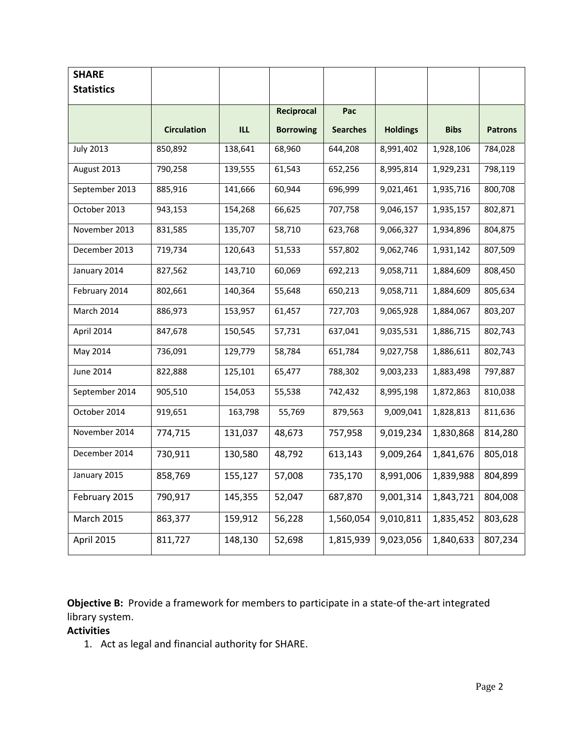| <b>SHARE</b>      |                    |         |                  |                 |                 |             |                |
|-------------------|--------------------|---------|------------------|-----------------|-----------------|-------------|----------------|
| <b>Statistics</b> |                    |         |                  |                 |                 |             |                |
|                   |                    |         | Reciprocal       | Pac             |                 |             |                |
|                   | <b>Circulation</b> | ILL.    | <b>Borrowing</b> | <b>Searches</b> | <b>Holdings</b> | <b>Bibs</b> | <b>Patrons</b> |
| <b>July 2013</b>  | 850,892            | 138,641 | 68,960           | 644,208         | 8,991,402       | 1,928,106   | 784,028        |
| August 2013       | 790,258            | 139,555 | 61,543           | 652,256         | 8,995,814       | 1,929,231   | 798,119        |
| September 2013    | 885,916            | 141,666 | 60,944           | 696,999         | 9,021,461       | 1,935,716   | 800,708        |
| October 2013      | 943,153            | 154,268 | 66,625           | 707,758         | 9,046,157       | 1,935,157   | 802,871        |
| November 2013     | 831,585            | 135,707 | 58,710           | 623,768         | 9,066,327       | 1,934,896   | 804,875        |
| December 2013     | 719,734            | 120,643 | 51,533           | 557,802         | 9,062,746       | 1,931,142   | 807,509        |
| January 2014      | 827,562            | 143,710 | 60,069           | 692,213         | 9,058,711       | 1,884,609   | 808,450        |
| February 2014     | 802,661            | 140,364 | 55,648           | 650,213         | 9,058,711       | 1,884,609   | 805,634        |
| March 2014        | 886,973            | 153,957 | 61,457           | 727,703         | 9,065,928       | 1,884,067   | 803,207        |
| April 2014        | 847,678            | 150,545 | 57,731           | 637,041         | 9,035,531       | 1,886,715   | 802,743        |
| May 2014          | 736,091            | 129,779 | 58,784           | 651,784         | 9,027,758       | 1,886,611   | 802,743        |
| <b>June 2014</b>  | 822,888            | 125,101 | 65,477           | 788,302         | 9,003,233       | 1,883,498   | 797,887        |
| September 2014    | 905,510            | 154,053 | 55,538           | 742,432         | 8,995,198       | 1,872,863   | 810,038        |
| October 2014      | 919,651            | 163,798 | 55,769           | 879,563         | 9,009,041       | 1,828,813   | 811,636        |
| November 2014     | 774,715            | 131,037 | 48,673           | 757,958         | 9,019,234       | 1,830,868   | 814,280        |
| December 2014     | 730,911            | 130,580 | 48,792           | 613,143         | 9,009,264       | 1,841,676   | 805,018        |
| January 2015      | 858,769            | 155,127 | 57,008           | 735,170         | 8,991,006       | 1,839,988   | 804,899        |
| February 2015     | 790,917            | 145,355 | 52,047           | 687,870         | 9,001,314       | 1,843,721   | 804,008        |
| <b>March 2015</b> | 863,377            | 159,912 | 56,228           | 1,560,054       | 9,010,811       | 1,835,452   | 803,628        |
| April 2015        | 811,727            | 148,130 | 52,698           | 1,815,939       | 9,023,056       | 1,840,633   | 807,234        |

**Objective B:** Provide a framework for members to participate in a state-of the-art integrated library system.

# **Activities**

1. Act as legal and financial authority for SHARE.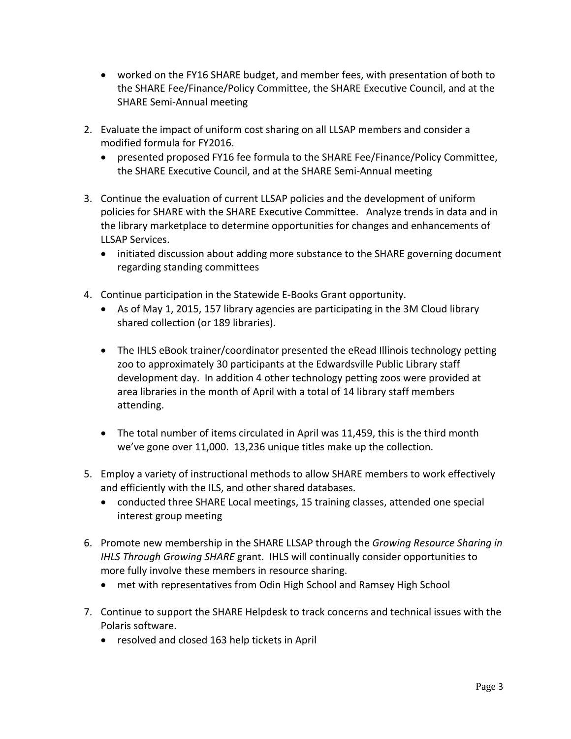- worked on the FY16 SHARE budget, and member fees, with presentation of both to the SHARE Fee/Finance/Policy Committee, the SHARE Executive Council, and at the SHARE Semi‐Annual meeting
- 2. Evaluate the impact of uniform cost sharing on all LLSAP members and consider a modified formula for FY2016.
	- presented proposed FY16 fee formula to the SHARE Fee/Finance/Policy Committee, the SHARE Executive Council, and at the SHARE Semi‐Annual meeting
- 3. Continue the evaluation of current LLSAP policies and the development of uniform policies for SHARE with the SHARE Executive Committee. Analyze trends in data and in the library marketplace to determine opportunities for changes and enhancements of LLSAP Services.
	- initiated discussion about adding more substance to the SHARE governing document regarding standing committees
- 4. Continue participation in the Statewide E‐Books Grant opportunity.
	- As of May 1, 2015, 157 library agencies are participating in the 3M Cloud library shared collection (or 189 libraries).
	- The IHLS eBook trainer/coordinator presented the eRead Illinois technology petting zoo to approximately 30 participants at the Edwardsville Public Library staff development day. In addition 4 other technology petting zoos were provided at area libraries in the month of April with a total of 14 library staff members attending.
	- The total number of items circulated in April was 11,459, this is the third month we've gone over 11,000. 13,236 unique titles make up the collection.
- 5. Employ a variety of instructional methods to allow SHARE members to work effectively and efficiently with the ILS, and other shared databases.
	- conducted three SHARE Local meetings, 15 training classes, attended one special interest group meeting
- 6. Promote new membership in the SHARE LLSAP through the *Growing Resource Sharing in IHLS Through Growing SHARE* grant. IHLS will continually consider opportunities to more fully involve these members in resource sharing.
	- met with representatives from Odin High School and Ramsey High School
- 7. Continue to support the SHARE Helpdesk to track concerns and technical issues with the Polaris software.
	- resolved and closed 163 help tickets in April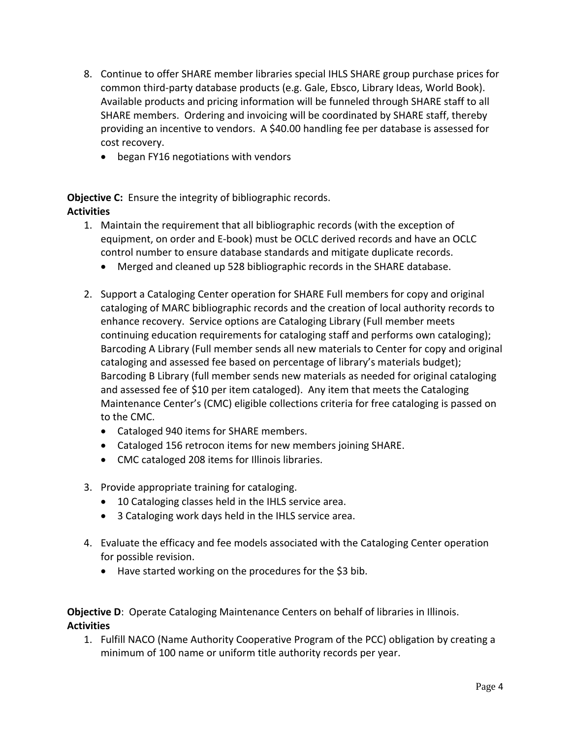- 8. Continue to offer SHARE member libraries special IHLS SHARE group purchase prices for common third‐party database products (e.g. Gale, Ebsco, Library Ideas, World Book). Available products and pricing information will be funneled through SHARE staff to all SHARE members. Ordering and invoicing will be coordinated by SHARE staff, thereby providing an incentive to vendors. A \$40.00 handling fee per database is assessed for cost recovery.
	- began FY16 negotiations with vendors

**Objective C:** Ensure the integrity of bibliographic records. **Activities**

- 1. Maintain the requirement that all bibliographic records (with the exception of equipment, on order and E‐book) must be OCLC derived records and have an OCLC control number to ensure database standards and mitigate duplicate records.
	- Merged and cleaned up 528 bibliographic records in the SHARE database.
- 2. Support a Cataloging Center operation for SHARE Full members for copy and original cataloging of MARC bibliographic records and the creation of local authority records to enhance recovery. Service options are Cataloging Library (Full member meets continuing education requirements for cataloging staff and performs own cataloging); Barcoding A Library (Full member sends all new materials to Center for copy and original cataloging and assessed fee based on percentage of library's materials budget); Barcoding B Library (full member sends new materials as needed for original cataloging and assessed fee of \$10 per item cataloged). Any item that meets the Cataloging Maintenance Center's (CMC) eligible collections criteria for free cataloging is passed on to the CMC.
	- Cataloged 940 items for SHARE members.
	- Cataloged 156 retrocon items for new members joining SHARE.
	- CMC cataloged 208 items for Illinois libraries.
- 3. Provide appropriate training for cataloging.
	- 10 Cataloging classes held in the IHLS service area.
	- 3 Cataloging work days held in the IHLS service area.
- 4. Evaluate the efficacy and fee models associated with the Cataloging Center operation for possible revision.
	- Have started working on the procedures for the \$3 bib.

## **Objective D:** Operate Cataloging Maintenance Centers on behalf of libraries in Illinois. **Activities**

1. Fulfill NACO (Name Authority Cooperative Program of the PCC) obligation by creating a minimum of 100 name or uniform title authority records per year.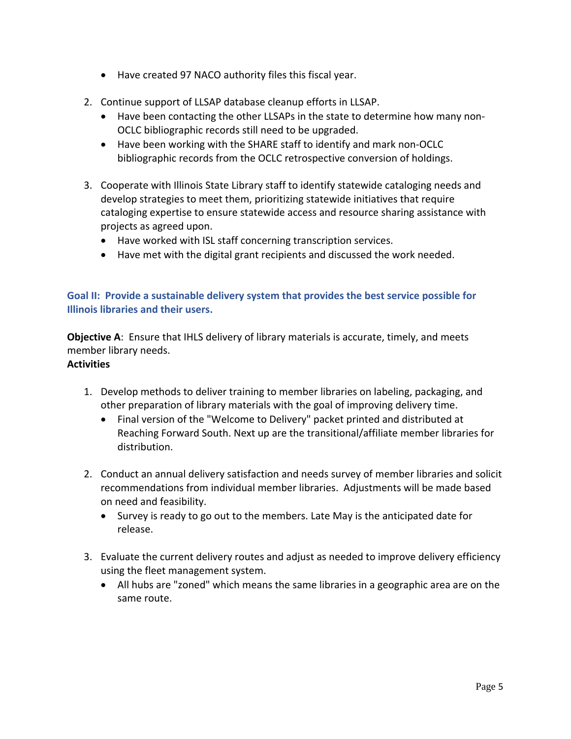- Have created 97 NACO authority files this fiscal year.
- 2. Continue support of LLSAP database cleanup efforts in LLSAP.
	- Have been contacting the other LLSAPs in the state to determine how many non-OCLC bibliographic records still need to be upgraded.
	- Have been working with the SHARE staff to identify and mark non-OCLC bibliographic records from the OCLC retrospective conversion of holdings.
- 3. Cooperate with Illinois State Library staff to identify statewide cataloging needs and develop strategies to meet them, prioritizing statewide initiatives that require cataloging expertise to ensure statewide access and resource sharing assistance with projects as agreed upon.
	- Have worked with ISL staff concerning transcription services.
	- Have met with the digital grant recipients and discussed the work needed.

# **Goal II: Provide a sustainable delivery system that provides the best service possible for Illinois libraries and their users.**

**Objective A**: Ensure that IHLS delivery of library materials is accurate, timely, and meets member library needs. **Activities**

- 1. Develop methods to deliver training to member libraries on labeling, packaging, and other preparation of library materials with the goal of improving delivery time.
	- Final version of the "Welcome to Delivery" packet printed and distributed at Reaching Forward South. Next up are the transitional/affiliate member libraries for distribution.
- 2. Conduct an annual delivery satisfaction and needs survey of member libraries and solicit recommendations from individual member libraries. Adjustments will be made based on need and feasibility.
	- Survey is ready to go out to the members. Late May is the anticipated date for release.
- 3. Evaluate the current delivery routes and adjust as needed to improve delivery efficiency using the fleet management system.
	- All hubs are "zoned" which means the same libraries in a geographic area are on the same route.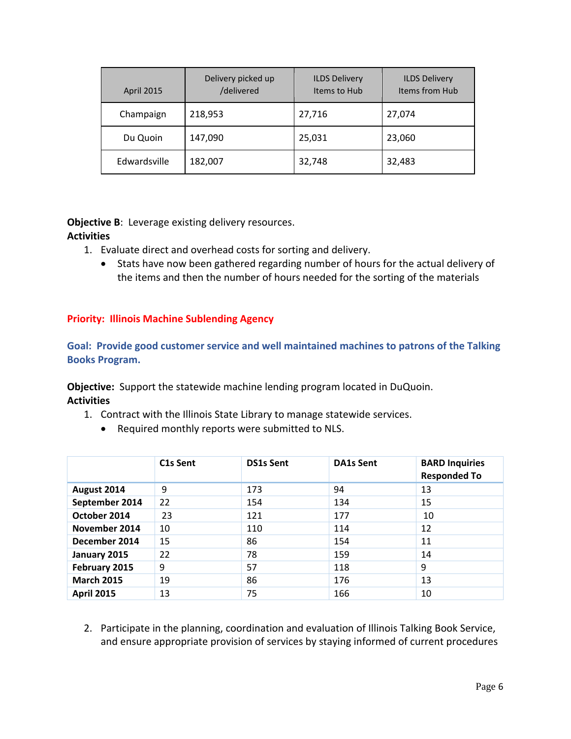| <b>April 2015</b> | Delivery picked up<br>/delivered | <b>ILDS Delivery</b><br>Items to Hub | <b>ILDS Delivery</b><br>Items from Hub |  |
|-------------------|----------------------------------|--------------------------------------|----------------------------------------|--|
| Champaign         | 218,953                          | 27,716                               | 27,074                                 |  |
| Du Quoin          | 147,090                          | 25,031                               | 23,060                                 |  |
| Edwardsville      | 182,007                          | 32,748                               | 32,483                                 |  |

**Objective B**: Leverage existing delivery resources. **Activities**

- 1. Evaluate direct and overhead costs for sorting and delivery.
	- Stats have now been gathered regarding number of hours for the actual delivery of the items and then the number of hours needed for the sorting of the materials

# **Priority: Illinois Machine Sublending Agency**

**Goal: Provide good customer service and well maintained machines to patrons of the Talking Books Program.**

**Objective:** Support the statewide machine lending program located in DuQuoin. **Activities**

- 1. Contract with the Illinois State Library to manage statewide services.
	- Required monthly reports were submitted to NLS.

|                   | C <sub>1</sub> s Sent | <b>DS1s Sent</b> | <b>DA1s Sent</b> | <b>BARD Inquiries</b><br><b>Responded To</b> |
|-------------------|-----------------------|------------------|------------------|----------------------------------------------|
| August 2014       | 9                     | 173              | 94               | 13                                           |
| September 2014    | 22                    | 154              | 134              | 15                                           |
| October 2014      | 23                    | 121              | 177              | 10                                           |
| November 2014     | 10                    | 110              | 114              | 12                                           |
| December 2014     | 15                    | 86               | 154              | 11                                           |
| January 2015      | 22                    | 78               | 159              | 14                                           |
| February 2015     | 9                     | 57               | 118              | 9                                            |
| <b>March 2015</b> | 19                    | 86               | 176              | 13                                           |
| <b>April 2015</b> | 13                    | 75               | 166              | 10                                           |

2. Participate in the planning, coordination and evaluation of Illinois Talking Book Service, and ensure appropriate provision of services by staying informed of current procedures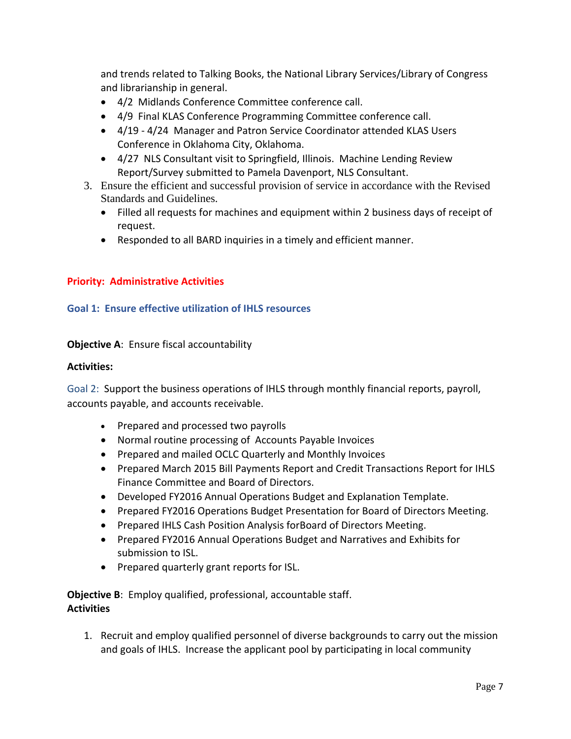and trends related to Talking Books, the National Library Services/Library of Congress and librarianship in general.

- 4/2 Midlands Conference Committee conference call.
- 4/9 Final KLAS Conference Programming Committee conference call.
- 4/19 4/24 Manager and Patron Service Coordinator attended KLAS Users Conference in Oklahoma City, Oklahoma.
- 4/27 NLS Consultant visit to Springfield, Illinois. Machine Lending Review Report/Survey submitted to Pamela Davenport, NLS Consultant.
- 3. Ensure the efficient and successful provision of service in accordance with the Revised Standards and Guidelines.
	- Filled all requests for machines and equipment within 2 business days of receipt of request.
	- Responded to all BARD inquiries in a timely and efficient manner.

# **Priority: Administrative Activities**

## **Goal 1: Ensure effective utilization of IHLS resources**

# **Objective A**: Ensure fiscal accountability

### **Activities:**

Goal 2: Support the business operations of IHLS through monthly financial reports, payroll, accounts payable, and accounts receivable.

- Prepared and processed two payrolls
- Normal routine processing of Accounts Payable Invoices
- Prepared and mailed OCLC Quarterly and Monthly Invoices
- Prepared March 2015 Bill Payments Report and Credit Transactions Report for IHLS Finance Committee and Board of Directors.
- Developed FY2016 Annual Operations Budget and Explanation Template.
- Prepared FY2016 Operations Budget Presentation for Board of Directors Meeting.
- Prepared IHLS Cash Position Analysis forBoard of Directors Meeting.
- Prepared FY2016 Annual Operations Budget and Narratives and Exhibits for submission to ISL.
- Prepared quarterly grant reports for ISL.

**Objective B**: Employ qualified, professional, accountable staff. **Activities**

1. Recruit and employ qualified personnel of diverse backgrounds to carry out the mission and goals of IHLS. Increase the applicant pool by participating in local community